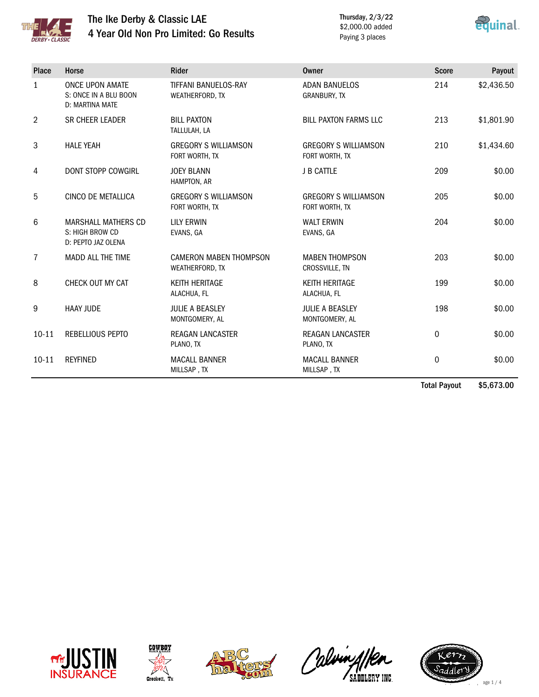

## The Ike Derby & Classic LAE 4 Year Old Non Pro Limited: Go Results

Thursday, 2/3/22 \$2,000.00 added Paying 3 places



| Place          | Horse                                                               | <b>Rider</b>                                     | <b>Owner</b>                                  | <b>Score</b> | Payout     |
|----------------|---------------------------------------------------------------------|--------------------------------------------------|-----------------------------------------------|--------------|------------|
| $\mathbf{1}$   | <b>ONCE UPON AMATE</b><br>S: ONCE IN A BLU BOON<br>D: MARTINA MATE  | TIFFANI BANUELOS-RAY<br>WEATHERFORD, TX          | <b>ADAN BANUELOS</b><br><b>GRANBURY, TX</b>   | 214          | \$2,436.50 |
| $\overline{2}$ | SR CHEER LEADER                                                     | <b>BILL PAXTON</b><br>TALLULAH, LA               | <b>BILL PAXTON FARMS LLC</b>                  | 213          | \$1,801.90 |
| 3              | <b>HALE YEAH</b>                                                    | <b>GREGORY S WILLIAMSON</b><br>FORT WORTH, TX    | <b>GREGORY S WILLIAMSON</b><br>FORT WORTH, TX | 210          | \$1,434.60 |
| 4              | <b>DONT STOPP COWGIRL</b>                                           | <b>JOEY BLANN</b><br>HAMPTON, AR                 | <b>J B CATTLE</b>                             | 209          | \$0.00     |
| 5              | <b>CINCO DE METALLICA</b>                                           | <b>GREGORY S WILLIAMSON</b><br>FORT WORTH, TX    | <b>GREGORY S WILLIAMSON</b><br>FORT WORTH, TX | 205          | \$0.00     |
| 6              | <b>MARSHALL MATHERS CD</b><br>S: HIGH BROW CD<br>D: PEPTO JAZ OLENA | <b>LILY ERWIN</b><br>EVANS, GA                   | <b>WALT ERWIN</b><br>EVANS, GA                | 204          | \$0.00     |
| $\overline{7}$ | <b>MADD ALL THE TIME</b>                                            | <b>CAMERON MABEN THOMPSON</b><br>WEATHERFORD, TX | <b>MABEN THOMPSON</b><br>CROSSVILLE, TN       | 203          | \$0.00     |
| 8              | CHECK OUT MY CAT                                                    | <b>KEITH HERITAGE</b><br>ALACHUA, FL             | <b>KEITH HERITAGE</b><br>ALACHUA, FL          | 199          | \$0.00     |
| 9              | <b>HAAY JUDE</b>                                                    | <b>JULIE A BEASLEY</b><br>MONTGOMERY, AL         | <b>JULIE A BEASLEY</b><br>MONTGOMERY, AL      | 198          | \$0.00     |
| $10 - 11$      | REBELLIOUS PEPTO                                                    | REAGAN LANCASTER<br>PLANO, TX                    | <b>REAGAN LANCASTER</b><br>PLANO, TX          | 0            | \$0.00     |
| $10 - 11$      | <b>REYFINED</b>                                                     | <b>MACALL BANNER</b><br>MILLSAP, TX              | <b>MACALL BANNER</b><br>MILLSAP, TX           | 0            | \$0.00     |

Total Payout \$5,673.00